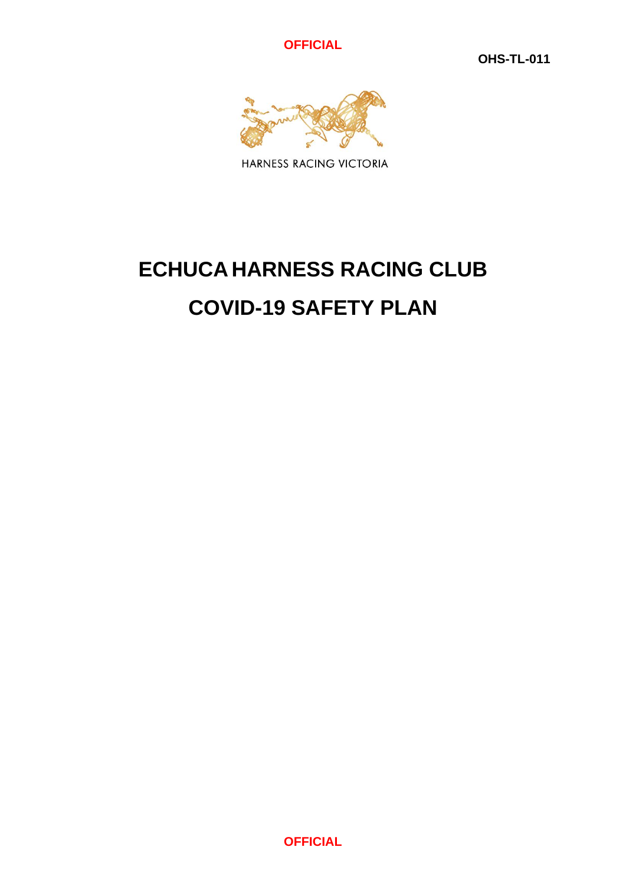**OFFICIAL**

**OHS-TL-011**



HARNESS RACING VICTORIA

# **ECHUCA HARNESS RACING CLUB COVID-19 SAFETY PLAN**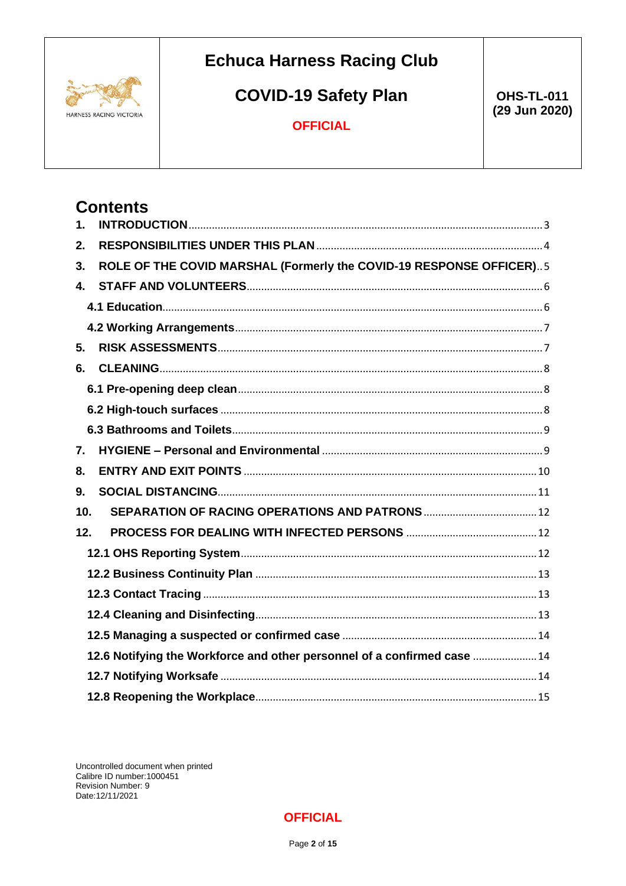

Contents

# **Echuca Harness Racing Club**

# **COVID-19 Safety Plan**

**OHS-TL-011** (29 Jun 2020)

### **OFFICIAL**

| 1.                                                                       |                                                                     |  |  |
|--------------------------------------------------------------------------|---------------------------------------------------------------------|--|--|
| 2.                                                                       |                                                                     |  |  |
| 3.                                                                       | ROLE OF THE COVID MARSHAL (Formerly the COVID-19 RESPONSE OFFICER)5 |  |  |
| $\mathbf{4}$ .                                                           |                                                                     |  |  |
|                                                                          |                                                                     |  |  |
|                                                                          |                                                                     |  |  |
| 5.                                                                       |                                                                     |  |  |
| 6.                                                                       |                                                                     |  |  |
|                                                                          |                                                                     |  |  |
|                                                                          |                                                                     |  |  |
|                                                                          |                                                                     |  |  |
| 7.                                                                       |                                                                     |  |  |
| 8.                                                                       |                                                                     |  |  |
| 9.                                                                       |                                                                     |  |  |
| 10.                                                                      |                                                                     |  |  |
| 12.                                                                      |                                                                     |  |  |
|                                                                          |                                                                     |  |  |
|                                                                          |                                                                     |  |  |
|                                                                          |                                                                     |  |  |
|                                                                          |                                                                     |  |  |
|                                                                          |                                                                     |  |  |
| 12.6 Notifying the Workforce and other personnel of a confirmed case  14 |                                                                     |  |  |
|                                                                          |                                                                     |  |  |
|                                                                          |                                                                     |  |  |

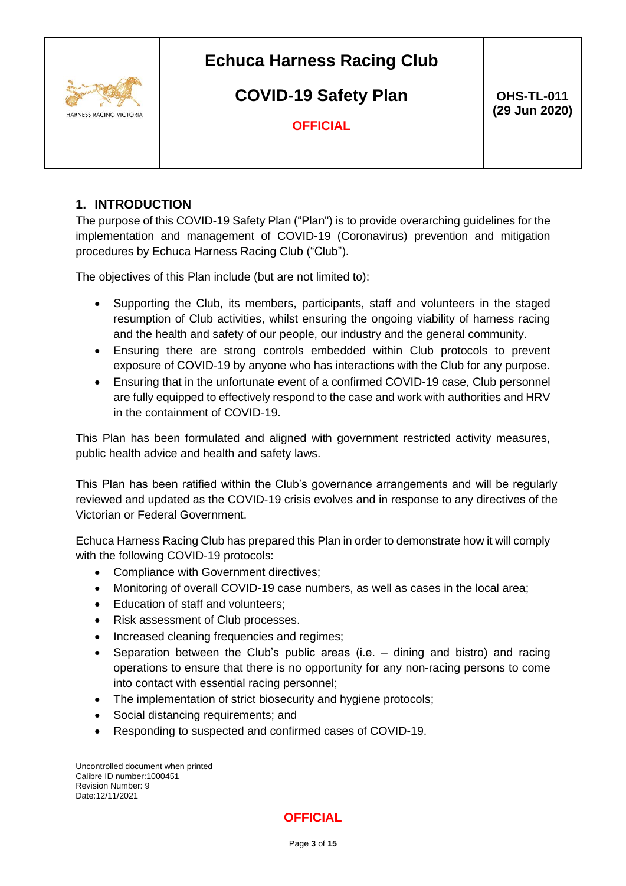

# **COVID-19 Safety Plan**

 **OHS-TL-011 (29 Jun 2020)**

**OFFICIAL**

### <span id="page-2-0"></span>**1. INTRODUCTION**

The purpose of this COVID-19 Safety Plan ("Plan") is to provide overarching guidelines for the implementation and management of COVID-19 (Coronavirus) prevention and mitigation procedures by Echuca Harness Racing Club ("Club").

The objectives of this Plan include (but are not limited to):

- Supporting the Club, its members, participants, staff and volunteers in the staged resumption of Club activities, whilst ensuring the ongoing viability of harness racing and the health and safety of our people, our industry and the general community.
- Ensuring there are strong controls embedded within Club protocols to prevent exposure of COVID-19 by anyone who has interactions with the Club for any purpose.
- Ensuring that in the unfortunate event of a confirmed COVID-19 case, Club personnel are fully equipped to effectively respond to the case and work with authorities and HRV in the containment of COVID-19.

This Plan has been formulated and aligned with government restricted activity measures, public health advice and health and safety laws.

This Plan has been ratified within the Club's governance arrangements and will be regularly reviewed and updated as the COVID-19 crisis evolves and in response to any directives of the Victorian or Federal Government.

Echuca Harness Racing Club has prepared this Plan in order to demonstrate how it will comply with the following COVID-19 protocols:

- Compliance with Government directives;
- Monitoring of overall COVID-19 case numbers, as well as cases in the local area;
- Education of staff and volunteers;
- Risk assessment of Club processes.
- Increased cleaning frequencies and regimes;
- Separation between the Club's public areas (i.e. dining and bistro) and racing operations to ensure that there is no opportunity for any non-racing persons to come into contact with essential racing personnel;
- The implementation of strict biosecurity and hygiene protocols:
- Social distancing requirements; and
- Responding to suspected and confirmed cases of COVID-19.

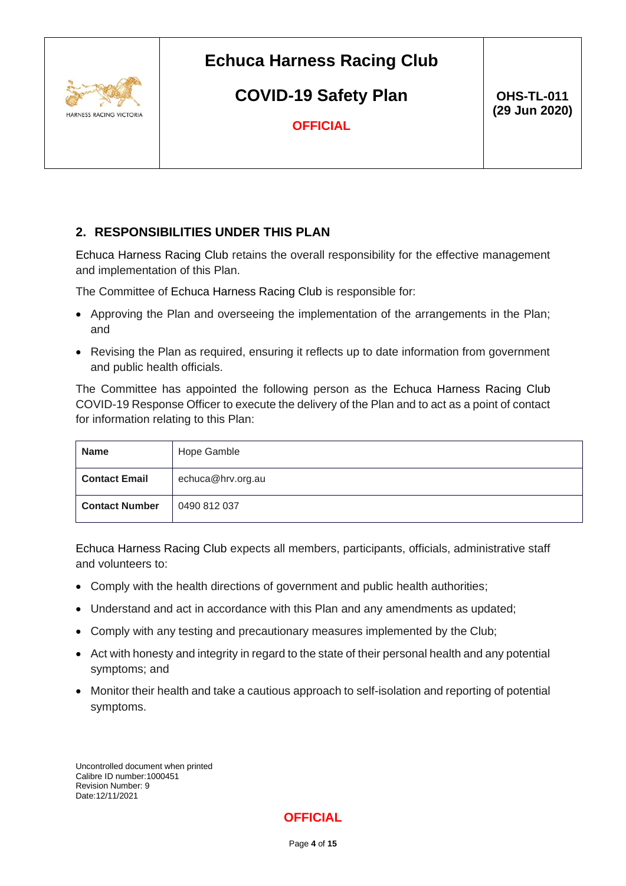

**COVID-19 Safety Plan**

 **OHS-TL-011 (29 Jun 2020)**

**OFFICIAL**

### <span id="page-3-0"></span>**2. RESPONSIBILITIES UNDER THIS PLAN**

Echuca Harness Racing Club retains the overall responsibility for the effective management and implementation of this Plan.

The Committee of Echuca Harness Racing Club is responsible for:

- Approving the Plan and overseeing the implementation of the arrangements in the Plan; and
- Revising the Plan as required, ensuring it reflects up to date information from government and public health officials.

The Committee has appointed the following person as the Echuca Harness Racing Club COVID-19 Response Officer to execute the delivery of the Plan and to act as a point of contact for information relating to this Plan:

| <b>Name</b>           | Hope Gamble       |
|-----------------------|-------------------|
| <b>Contact Email</b>  | echuca@hrv.org.au |
| <b>Contact Number</b> | 0490 812 037      |

Echuca Harness Racing Club expects all members, participants, officials, administrative staff and volunteers to:

- Comply with the health directions of government and public health authorities;
- Understand and act in accordance with this Plan and any amendments as updated;
- Comply with any testing and precautionary measures implemented by the Club;
- Act with honesty and integrity in regard to the state of their personal health and any potential symptoms; and
- Monitor their health and take a cautious approach to self-isolation and reporting of potential symptoms.

Uncontrolled document when printed Calibre ID number:1000451 Revision Number: 9 Date:12/11/2021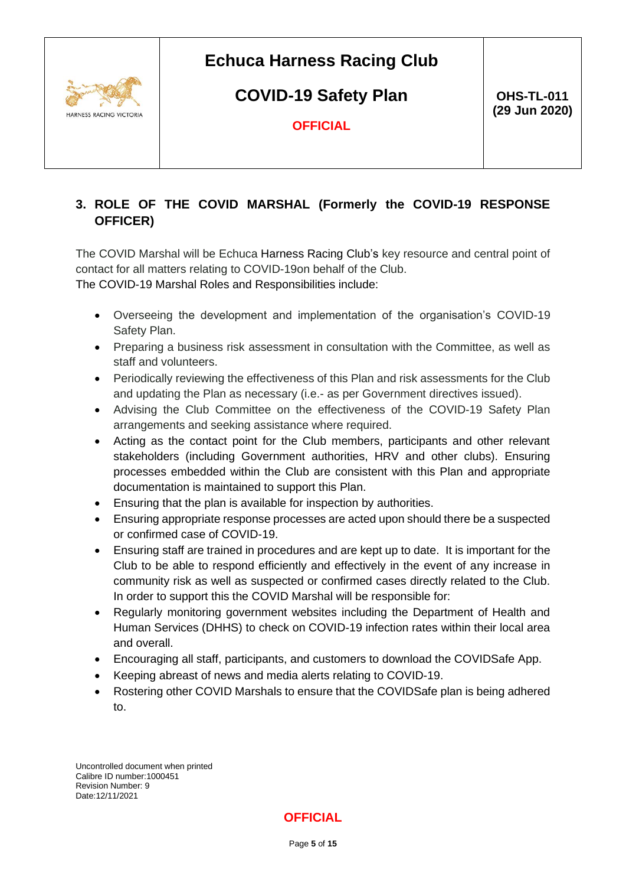

**COVID-19 Safety Plan**

 **OHS-TL-011 (29 Jun 2020)**

**OFFICIAL**

### <span id="page-4-0"></span>**3. ROLE OF THE COVID MARSHAL (Formerly the COVID-19 RESPONSE OFFICER)**

The COVID Marshal will be Echuca Harness Racing Club's key resource and central point of contact for all matters relating to COVID-19on behalf of the Club. The COVID-19 Marshal Roles and Responsibilities include:

- Overseeing the development and implementation of the organisation's [COVID-19](https://www.sportaus.gov.au/return-to-sport#covid-19_safety_plan)  [Safety Plan.](https://www.sportaus.gov.au/return-to-sport#covid-19_safety_plan)
- Preparing a business risk assessment in consultation with the Committee, as well as staff and volunteers.
- Periodically reviewing the effectiveness of this Plan and risk assessments for the Club and updating the Plan as necessary (i.e.- as per Government directives issued).
- Advising the Club Committee on the effectiveness of the COVID-19 Safety Plan arrangements and seeking assistance where required.
- Acting as the contact point for the Club members, participants and other relevant stakeholders (including Government authorities, HRV and other clubs). Ensuring processes embedded within the Club are consistent with this Plan and appropriate documentation is maintained to support this Plan.
- Ensuring that the plan is available for inspection by authorities.
- Ensuring appropriate response processes are acted upon should there be a suspected or confirmed case of COVID-19.
- Ensuring staff are trained in procedures and are kept up to date. It is important for the Club to be able to respond efficiently and effectively in the event of any increase in community risk as well as suspected or confirmed cases directly related to the Club. In order to support this the COVID Marshal will be responsible for:
- Regularly monitoring government websites including the Department of Health and Human Services (DHHS) to check on COVID-19 infection rates within their local area and overall.
- Encouraging all staff, participants, and customers to download the COVIDSafe App.
- Keeping abreast of news and media alerts relating to COVID-19.
- Rostering other COVID Marshals to ensure that the COVIDSafe plan is being adhered to.

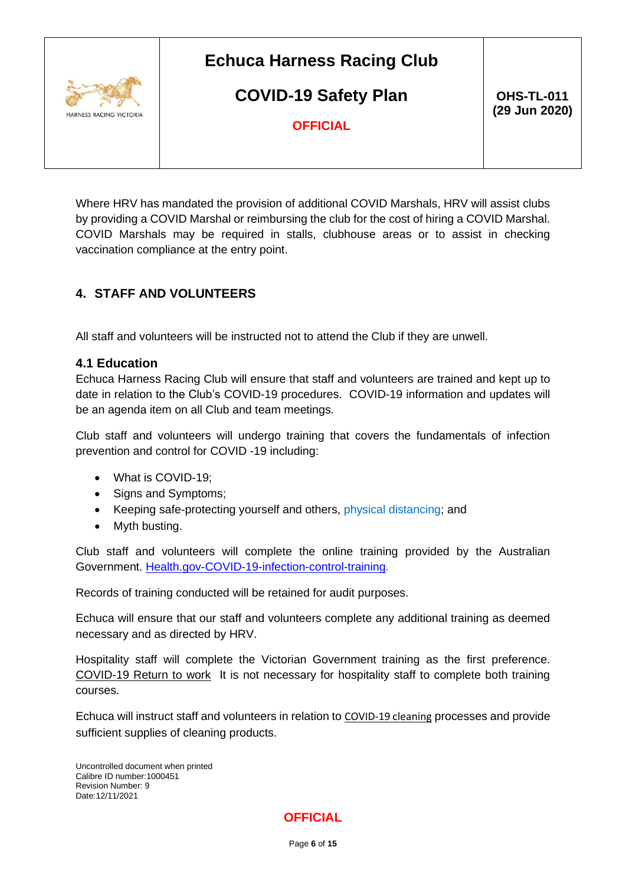

**COVID-19 Safety Plan**

 **OHS-TL-011 (29 Jun 2020)**

**OFFICIAL**

Where HRV has mandated the provision of additional COVID Marshals, HRV will assist clubs by providing a COVID Marshal or reimbursing the club for the cost of hiring a COVID Marshal. COVID Marshals may be required in stalls, clubhouse areas or to assist in checking vaccination compliance at the entry point.

### <span id="page-5-0"></span>**4. STAFF AND VOLUNTEERS**

All staff and volunteers will be instructed not to attend the Club if they are unwell.

#### <span id="page-5-1"></span>**4.1 Education**

Echuca Harness Racing Club will ensure that staff and volunteers are trained and kept up to date in relation to the Club's COVID-19 procedures. COVID-19 information and updates will be an agenda item on all Club and team meetings.

Club staff and volunteers will undergo training that covers the fundamentals of infection prevention and control for COVID -19 including:

- What is COVID-19;
- Signs and Symptoms;
- Keeping safe-protecting yourself and others, physical distancing; and
- Myth busting.

Club staff and volunteers will complete the online training provided by the Australian Government. [Health.gov-COVID-19-infection-control-training.](https://www.health.gov.au/resources/apps-and-tools/covid-19-infection-control-training)

Records of training conducted will be retained for audit purposes.

Echuca will ensure that our staff and volunteers complete any additional training as deemed necessary and as directed by HRV.

Hospitality staff will complete the Victorian Government training as the first preference. [COVID-19 Return to work](https://rtw.educationapps.vic.gov.au/) It is not necessary for hospitality staff to complete both training courses.

Echuca will instruct staff and volunteers in relation to [COVID-19 cleaning](https://www.safeworkaustralia.gov.au/sites/default/files/2020-05/COVID-and-Cleaning-info-sheet_26May2020_0.pdf) processes and provide sufficient supplies of cleaning products.

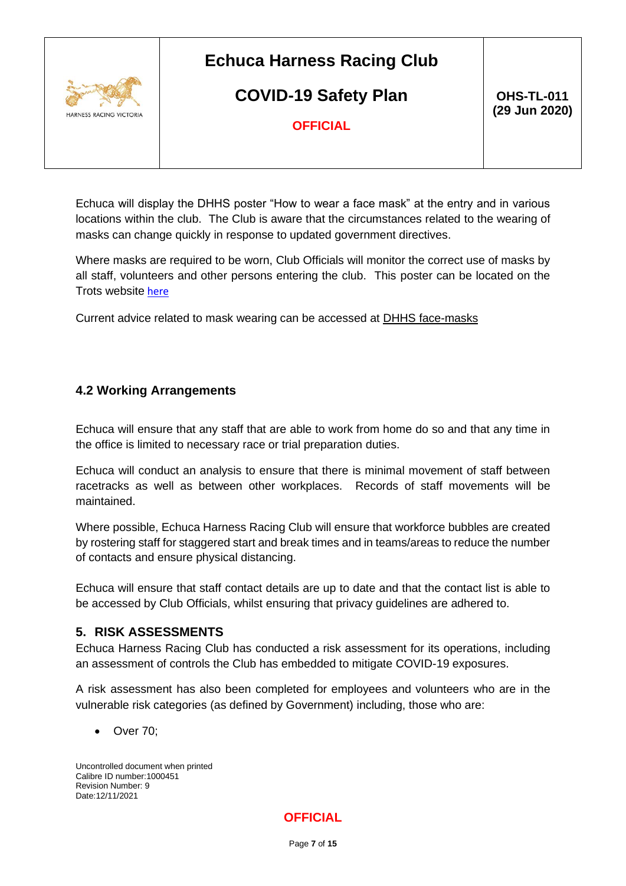

### **COVID-19 Safety Plan**

 **OHS-TL-011 (29 Jun 2020)**

**OFFICIAL**

Echuca will display the DHHS poster "How to wear a face mask" at the entry and in various locations within the club. The Club is aware that the circumstances related to the wearing of masks can change quickly in response to updated government directives.

Where masks are required to be worn, Club Officials will monitor the correct use of masks by all staff, volunteers and other persons entering the club. This poster can be located on the Trots website [here](https://www.thetrots.com.au/hrv/assets/File/Covid-Docs/How%20to%20wear%20a%20face%20mask%20-%20poster.pdf)

Current advice related to mask wearing can be accessed at [DHHS face-masks](https://www.dhhs.vic.gov.au/face-masks-vic-covid-19)

### <span id="page-6-0"></span>**4.2 Working Arrangements**

Echuca will ensure that any staff that are able to work from home do so and that any time in the office is limited to necessary race or trial preparation duties.

Echuca will conduct an analysis to ensure that there is minimal movement of staff between racetracks as well as between other workplaces. Records of staff movements will be maintained.

Where possible, Echuca Harness Racing Club will ensure that workforce bubbles are created by rostering staff for staggered start and break times and in teams/areas to reduce the number of contacts and ensure physical distancing.

Echuca will ensure that staff contact details are up to date and that the contact list is able to be accessed by Club Officials, whilst ensuring that privacy guidelines are adhered to.

#### <span id="page-6-1"></span>**5. RISK ASSESSMENTS**

Echuca Harness Racing Club has conducted a risk assessment for its operations, including an assessment of controls the Club has embedded to mitigate COVID-19 exposures.

A risk assessment has also been completed for employees and volunteers who are in the vulnerable risk categories (as defined by Government) including, those who are:

• Over 70;

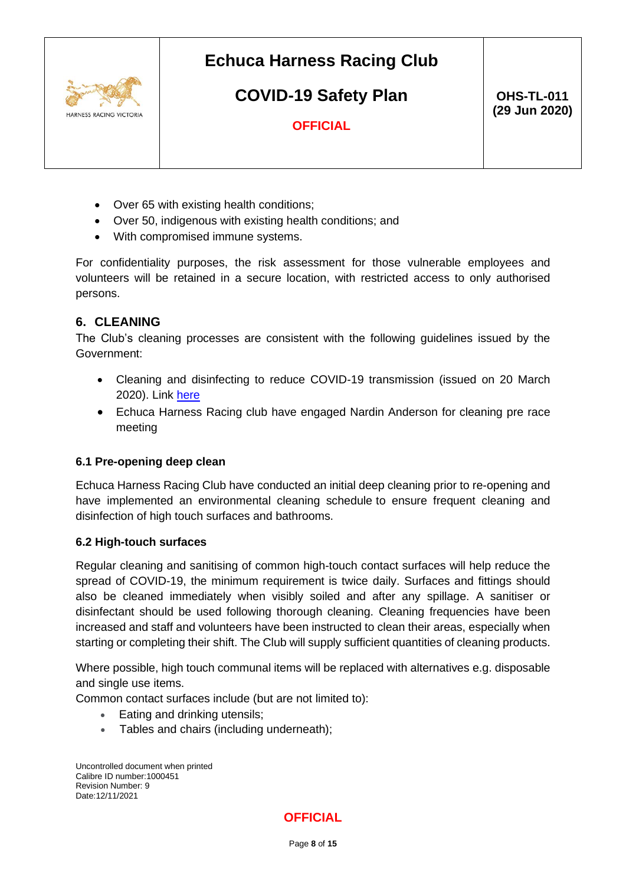

# **COVID-19 Safety Plan**

 **OHS-TL-011 (29 Jun 2020)**

**OFFICIAL**

- Over 65 with existing health conditions;
- Over 50, indigenous with existing health conditions; and
- With compromised immune systems.

For confidentiality purposes, the risk assessment for those vulnerable employees and volunteers will be retained in a secure location, with restricted access to only authorised persons.

#### <span id="page-7-0"></span>**6. CLEANING**

The Club's cleaning processes are consistent with the following guidelines issued by the Government:

- Cleaning and disinfecting to reduce COVID-19 transmission (issued on 20 March 2020). Link [here](https://www.bayside.vic.gov.au/sites/default/files/business_and_commerce/covid19_cleaning_and_disinfection_for_food_businesses.pdf)
- Echuca Harness Racing club have engaged Nardin Anderson for cleaning pre race meeting

#### <span id="page-7-1"></span>**6.1 Pre-opening deep clean**

Echuca Harness Racing Club have conducted an initial deep cleaning prior to re-opening and have implemented an environmental cleaning schedule to ensure frequent cleaning and disinfection of high touch surfaces and bathrooms.

#### <span id="page-7-2"></span>**6.2 High-touch surfaces**

Regular cleaning and sanitising of common high-touch contact surfaces will help reduce the spread of COVID-19, the minimum requirement is twice daily. Surfaces and fittings should also be cleaned immediately when visibly soiled and after any spillage. A sanitiser or disinfectant should be used following thorough cleaning. Cleaning frequencies have been increased and staff and volunteers have been instructed to clean their areas, especially when starting or completing their shift. The Club will supply sufficient quantities of cleaning products.

Where possible, high touch communal items will be replaced with alternatives e.g. disposable and single use items.

Common contact surfaces include (but are not limited to):

- Eating and drinking utensils;
- Tables and chairs (including underneath);

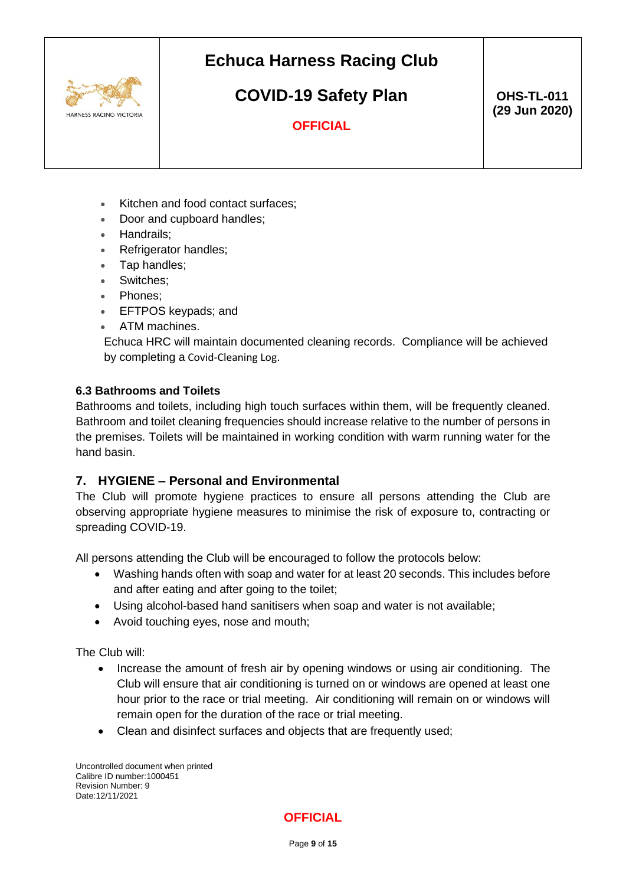

# **COVID-19 Safety Plan**

 **OHS-TL-011 (29 Jun 2020)**

**OFFICIAL**

- Kitchen and food contact surfaces:
- Door and cupboard handles;
- Handrails;
- Refrigerator handles;
- Tap handles;
- Switches;
- Phones:
- EFTPOS keypads; and
- ATM machines.

Echuca HRC will maintain documented cleaning records. Compliance will be achieved by completing a [Covid-Cleaning Log](https://www.thetrots.com.au/hrv/assets/File/Covid-Docs/Cleaning/Cleaning%20Log.xls).

#### <span id="page-8-0"></span>**6.3 Bathrooms and Toilets**

Bathrooms and toilets, including high touch surfaces within them, will be frequently cleaned. Bathroom and toilet cleaning frequencies should increase relative to the number of persons in the premises. Toilets will be maintained in working condition with warm running water for the hand basin.

### <span id="page-8-1"></span>**7. HYGIENE – Personal and Environmental**

The Club will promote hygiene practices to ensure all persons attending the Club are observing appropriate hygiene measures to minimise the risk of exposure to, contracting or spreading COVID-19.

All persons attending the Club will be encouraged to follow the protocols below:

- Washing hands often with soap and water for at least 20 seconds. This includes before and after eating and after going to the toilet;
- Using alcohol-based hand sanitisers when soap and water is not available;
- Avoid touching eyes, nose and mouth;

The Club will:

- Increase the amount of fresh air by opening windows or using air conditioning. The Club will ensure that air conditioning is turned on or windows are opened at least one hour prior to the race or trial meeting. Air conditioning will remain on or windows will remain open for the duration of the race or trial meeting.
- Clean and disinfect surfaces and objects that are frequently used;

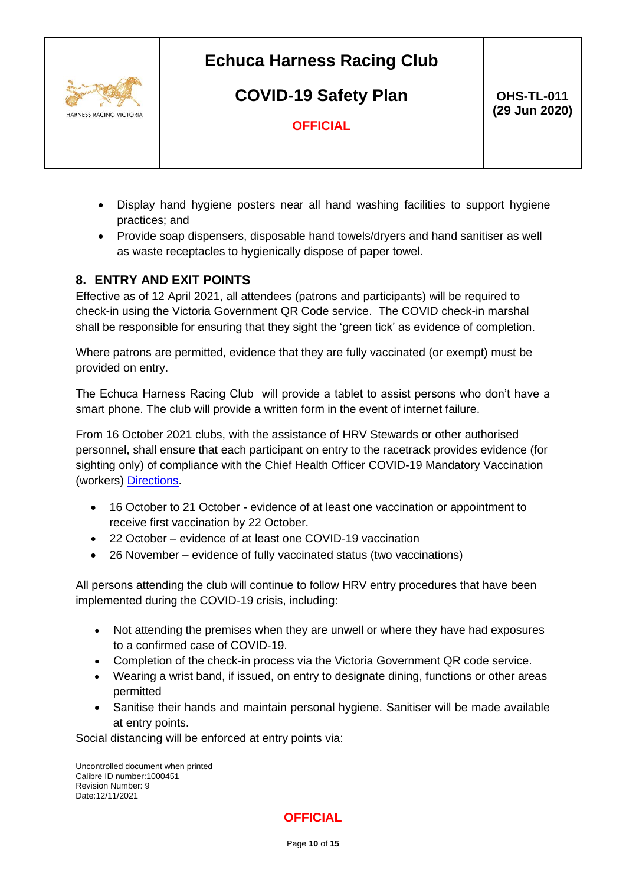

**COVID-19 Safety Plan**

 **OHS-TL-011 (29 Jun 2020)**

**OFFICIAL**

- Display hand hygiene posters near all hand washing facilities to support hygiene practices; and
- Provide soap dispensers, disposable hand towels/dryers and hand sanitiser as well as waste receptacles to hygienically dispose of paper towel.

### <span id="page-9-0"></span>**8. ENTRY AND EXIT POINTS**

Effective as of 12 April 2021, all attendees (patrons and participants) will be required to check-in using the Victoria Government QR Code service. The COVID check-in marshal shall be responsible for ensuring that they sight the 'green tick' as evidence of completion.

Where patrons are permitted, evidence that they are fully vaccinated (or exempt) must be provided on entry.

The Echuca Harness Racing Club will provide a tablet to assist persons who don't have a smart phone. The club will provide a written form in the event of internet failure.

From 16 October 2021 clubs, with the assistance of HRV Stewards or other authorised personnel, shall ensure that each participant on entry to the racetrack provides evidence (for sighting only) of compliance with the Chief Health Officer COVID-19 Mandatory Vaccination (workers) [Directions.](https://www.dhhs.vic.gov.au/victorias-restriction-levels-covid-19)

- 16 October to 21 October evidence of at least one vaccination or appointment to receive first vaccination by 22 October.
- 22 October evidence of at least one COVID-19 vaccination
- 26 November evidence of fully vaccinated status (two vaccinations)

All persons attending the club will continue to follow HRV entry procedures that have been implemented during the COVID-19 crisis, including:

- Not attending the premises when they are unwell or where they have had exposures to a confirmed case of COVID-19.
- Completion of the check-in process via the Victoria Government QR code service.
- Wearing a wrist band, if issued, on entry to designate dining, functions or other areas permitted
- Sanitise their hands and maintain personal hygiene. Sanitiser will be made available at entry points.

Social distancing will be enforced at entry points via:

Uncontrolled document when printed Calibre ID number:1000451 Revision Number: 9 Date:12/11/2021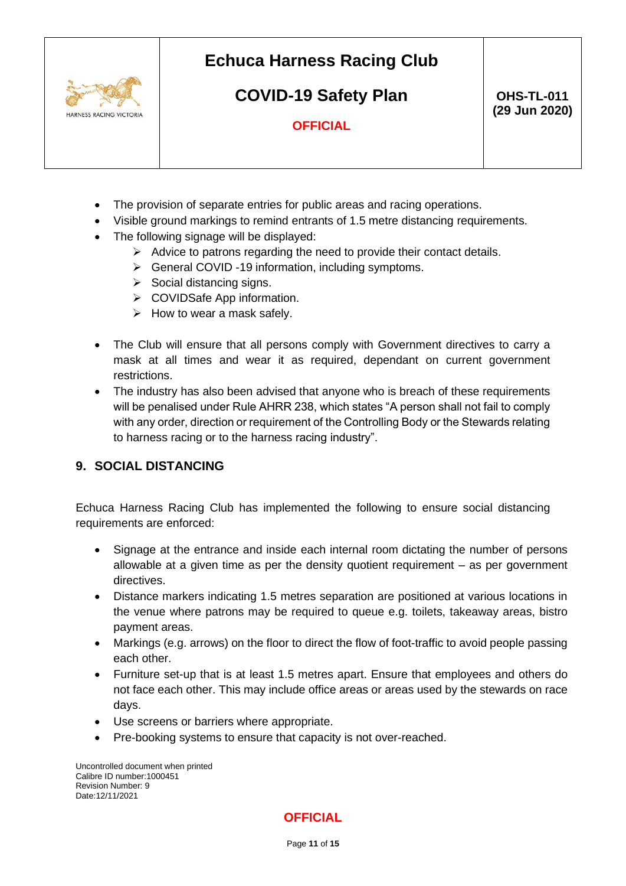

**COVID-19 Safety Plan**

**OFFICIAL**

- The provision of separate entries for public areas and racing operations.
- Visible ground markings to remind entrants of 1.5 metre distancing requirements.
- The following signage will be displayed:
	- $\triangleright$  Advice to patrons regarding the need to provide their contact details.
	- ➢ General COVID -19 information, including symptoms.
	- ➢ Social distancing signs.
	- ➢ COVIDSafe App information.
	- $\triangleright$  How to wear a mask safely.
- The Club will ensure that all persons comply with Government directives to carry a mask at all times and wear it as required, dependant on current government restrictions.
- The industry has also been advised that anyone who is breach of these requirements will be penalised under Rule AHRR 238, which states "A person shall not fail to comply with any order, direction or requirement of the Controlling Body or the Stewards relating to harness racing or to the harness racing industry".

### <span id="page-10-0"></span>**9. SOCIAL DISTANCING**

Echuca Harness Racing Club has implemented the following to ensure social distancing requirements are enforced:

- Signage at the entrance and inside each internal room dictating the number of persons allowable at a given time as per the density quotient requirement – as per government directives.
- Distance markers indicating 1.5 metres separation are positioned at various locations in the venue where patrons may be required to queue e.g. toilets, takeaway areas, bistro payment areas.
- Markings (e.g. arrows) on the floor to direct the flow of foot-traffic to avoid people passing each other.
- Furniture set-up that is at least 1.5 metres apart. Ensure that employees and others do not face each other. This may include office areas or areas used by the stewards on race days.
- Use screens or barriers where appropriate.
- Pre-booking systems to ensure that capacity is not over-reached.

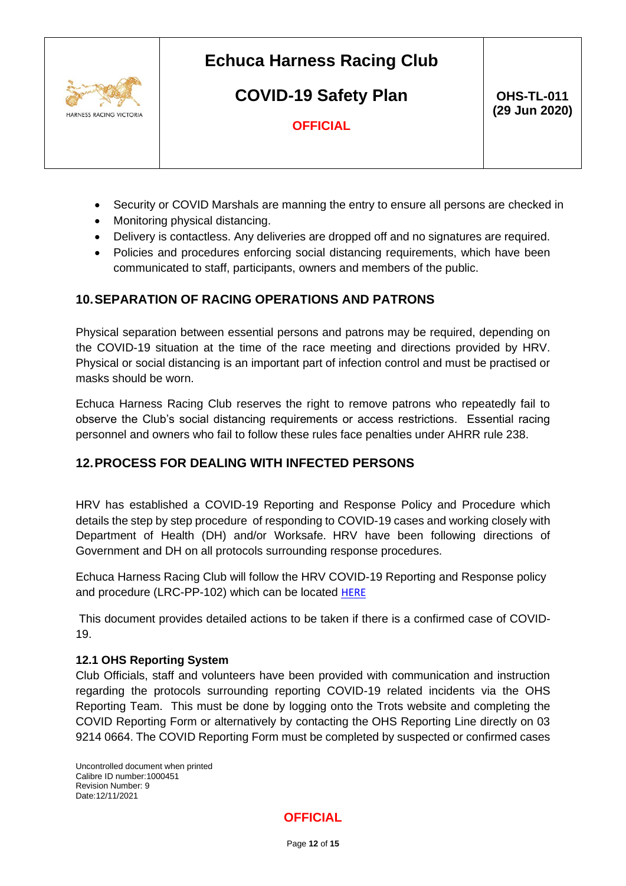

**COVID-19 Safety Plan**

 **OHS-TL-011 (29 Jun 2020)**

**OFFICIAL**

- Security or COVID Marshals are manning the entry to ensure all persons are checked in
- Monitoring physical distancing.
- Delivery is contactless. Any deliveries are dropped off and no signatures are required.
- Policies and procedures enforcing social distancing requirements, which have been communicated to staff, participants, owners and members of the public.

### <span id="page-11-0"></span>**10.SEPARATION OF RACING OPERATIONS AND PATRONS**

Physical separation between essential persons and patrons may be required, depending on the COVID-19 situation at the time of the race meeting and directions provided by HRV. Physical or social distancing is an important part of infection control and must be practised or masks should be worn.

Echuca Harness Racing Club reserves the right to remove patrons who repeatedly fail to observe the Club's social distancing requirements or access restrictions. Essential racing personnel and owners who fail to follow these rules face penalties under AHRR rule 238.

### <span id="page-11-1"></span>**12.PROCESS FOR DEALING WITH INFECTED PERSONS**

HRV has established a [COVID-19 Reporting and Response Policy and Procedure](https://www.thetrots.com.au/hrv/assets/File/Covid-Docs/HRV%20COVID-19%20Reporting%20and%20Response%20Policy%20and%20Procedure.pdf) which details the step by step procedure of responding to COVID-19 cases and working closely with Department of Health (DH) and/or Worksafe. HRV have been following directions of Government and DH on all protocols surrounding response procedures.

Echuca Harness Racing Club will follow the HRV COVID-19 Reporting and Response policy and procedure (LRC-PP-102) which can be located [HERE](https://www.thetrots.com.au/hrv/assets/File/Covid-Docs/HRV%20COVID-19%20Reporting%20and%20Response%20Policy%20and%20Procedure.pdf)

This document provides detailed actions to be taken if there is a confirmed case of COVID-19.

#### <span id="page-11-2"></span>**12.1 OHS Reporting System**

Club Officials, staff and volunteers have been provided with communication and instruction regarding the protocols surrounding reporting COVID-19 related incidents via the OHS Reporting Team. This must be done by logging onto the Trots website and completing the COVID Reporting Form or alternatively by contacting the OHS Reporting Line directly on 03 9214 0664. The COVID Reporting Form must be completed by suspected or confirmed cases

Uncontrolled document when printed Calibre ID number:1000451 Revision Number: 9 Date:12/11/2021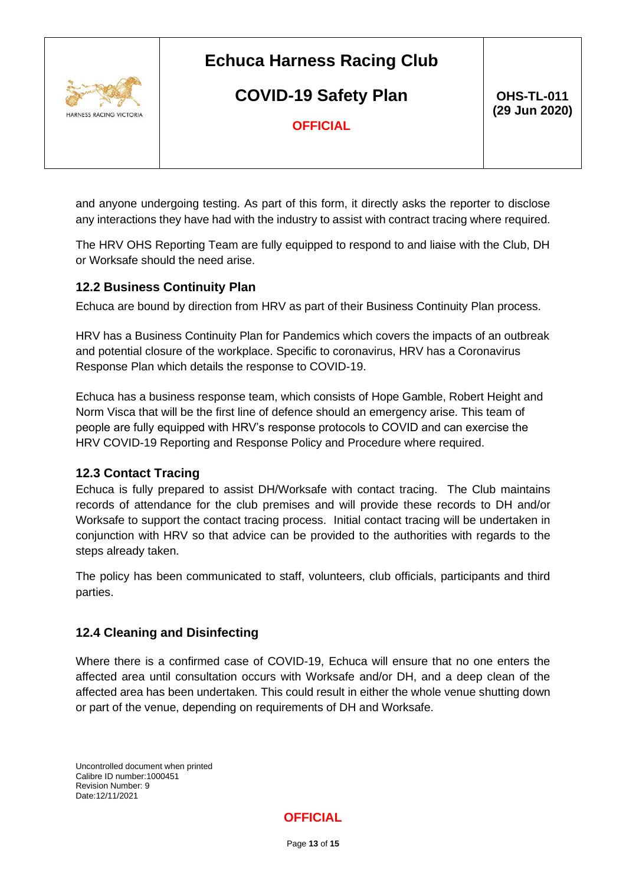

**COVID-19 Safety Plan**

 **OHS-TL-011 (29 Jun 2020)**

**OFFICIAL**

and anyone undergoing testing. As part of this form, it directly asks the reporter to disclose any interactions they have had with the industry to assist with contract tracing where required.

The HRV OHS Reporting Team are fully equipped to respond to and liaise with the Club, DH or Worksafe should the need arise.

### <span id="page-12-0"></span>**12.2 Business Continuity Plan**

Echuca are bound by direction from HRV as part of their Business Continuity Plan process.

HRV has a Business Continuity Plan for Pandemics which covers the impacts of an outbreak and potential closure of the workplace. Specific to coronavirus, HRV has a Coronavirus Response Plan which details the response to COVID-19.

Echuca has a business response team, which consists of Hope Gamble, Robert Height and Norm Visca that will be the first line of defence should an emergency arise. This team of people are fully equipped with HRV's response protocols to COVID and can exercise the HRV COVID-19 Reporting and Response Policy and Procedure where required.

### <span id="page-12-1"></span>**12.3 Contact Tracing**

Echuca is fully prepared to assist DH/Worksafe with contact tracing. The Club maintains records of attendance for the club premises and will provide these records to DH and/or Worksafe to support the contact tracing process. Initial contact tracing will be undertaken in conjunction with HRV so that advice can be provided to the authorities with regards to the steps already taken.

The policy has been communicated to staff, volunteers, club officials, participants and third parties.

### <span id="page-12-2"></span>**12.4 Cleaning and Disinfecting**

Where there is a confirmed case of COVID-19, Echuca will ensure that no one enters the affected area until consultation occurs with Worksafe and/or DH, and a deep clean of the affected area has been undertaken. This could result in either the whole venue shutting down or part of the venue, depending on requirements of DH and Worksafe.

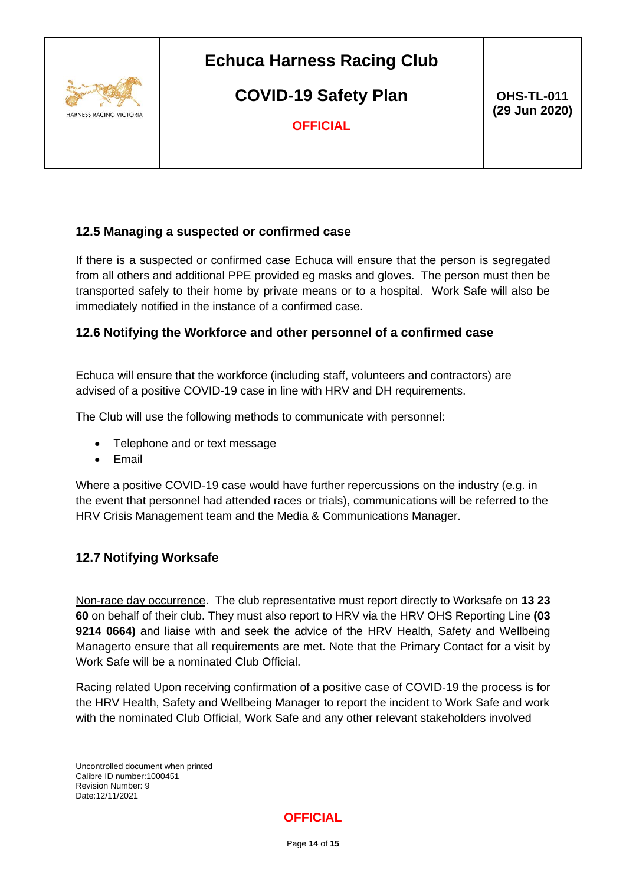

**COVID-19 Safety Plan**

 **OHS-TL-011 (29 Jun 2020)**

**OFFICIAL**

### <span id="page-13-0"></span>**12.5 Managing a suspected or confirmed case**

If there is a suspected or confirmed case Echuca will ensure that the person is segregated from all others and additional PPE provided eg masks and gloves. The person must then be transported safely to their home by private means or to a hospital. Work Safe will also be immediately notified in the instance of a confirmed case.

#### <span id="page-13-1"></span>**12.6 Notifying the Workforce and other personnel of a confirmed case**

Echuca will ensure that the workforce (including staff, volunteers and contractors) are advised of a positive COVID-19 case in line with HRV and DH requirements.

The Club will use the following methods to communicate with personnel:

- Telephone and or text message
- Email

Where a positive COVID-19 case would have further repercussions on the industry (e.g. in the event that personnel had attended races or trials), communications will be referred to the HRV Crisis Management team and the Media & Communications Manager.

#### <span id="page-13-2"></span>**12.7 Notifying Worksafe**

Non-race day occurrence. The club representative must report directly to Worksafe on **13 23 60** on behalf of their club. They must also report to HRV via the HRV OHS Reporting Line **(03 9214 0664)** and liaise with and seek the advice of the HRV Health, Safety and Wellbeing Managerto ensure that all requirements are met. Note that the Primary Contact for a visit by Work Safe will be a nominated Club Official.

Racing related Upon receiving confirmation of a positive case of COVID-19 the process is for the HRV Health, Safety and Wellbeing Manager to report the incident to Work Safe and work with the nominated Club Official, Work Safe and any other relevant stakeholders involved